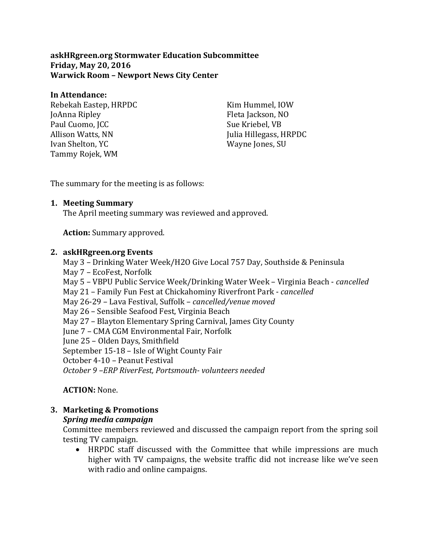**askHRgreen.org Stormwater Education Subcommittee Friday, May 20, 2016 Warwick Room – Newport News City Center**

#### **In Attendance:**

Rebekah Eastep, HRPDC JoAnna Ripley Paul Cuomo, JCC Allison Watts, NN Ivan Shelton, YC Tammy Rojek, WM

Kim Hummel, IOW Fleta Jackson, NO Sue Kriebel, VB Julia Hillegass, HRPDC Wayne Jones, SU

The summary for the meeting is as follows:

#### **1. Meeting Summary**

The April meeting summary was reviewed and approved.

**Action:** Summary approved.

#### **2. askHRgreen.org Events**

May 3 – Drinking Water Week/H2O Give Local 757 Day, Southside & Peninsula May 7 – EcoFest, Norfolk May 5 – VBPU Public Service Week/Drinking Water Week – Virginia Beach - *cancelled* May 21 – Family Fun Fest at Chickahominy Riverfront Park - *cancelled* May 26-29 – Lava Festival, Suffolk – *cancelled/venue moved* May 26 – Sensible Seafood Fest, Virginia Beach May 27 – Blayton Elementary Spring Carnival, James City County June 7 – CMA CGM Environmental Fair, Norfolk June 25 – Olden Days, Smithfield September 15-18 – Isle of Wight County Fair October 4-10 – Peanut Festival *October 9 –ERP RiverFest, Portsmouth- volunteers needed*

**ACTION:** None.

# **3. Marketing & Promotions**

#### *Spring media campaign*

Committee members reviewed and discussed the campaign report from the spring soil testing TV campaign.

• HRPDC staff discussed with the Committee that while impressions are much higher with TV campaigns, the website traffic did not increase like we've seen with radio and online campaigns.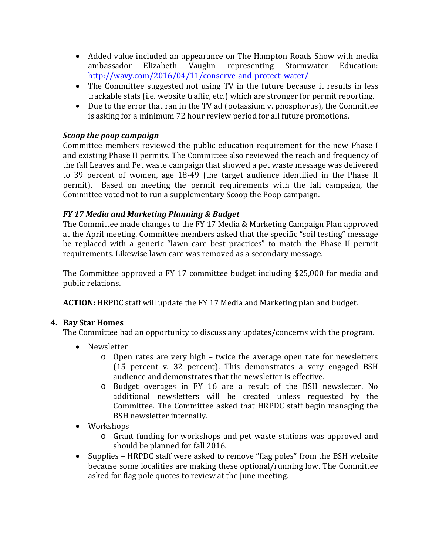- Added value included an appearance on The Hampton Roads Show with media ambassador Elizabeth Vaughn representing Stormwater Education: Vaughn representing <http://wavy.com/2016/04/11/conserve-and-protect-water/>
- The Committee suggested not using TV in the future because it results in less trackable stats (i.e. website traffic, etc.) which are stronger for permit reporting.
- Due to the error that ran in the TV ad (potassium v. phosphorus), the Committee is asking for a minimum 72 hour review period for all future promotions.

## *Scoop the poop campaign*

Committee members reviewed the public education requirement for the new Phase I and existing Phase II permits. The Committee also reviewed the reach and frequency of the fall Leaves and Pet waste campaign that showed a pet waste message was delivered to 39 percent of women, age 18-49 (the target audience identified in the Phase II permit). Based on meeting the permit requirements with the fall campaign, the Committee voted not to run a supplementary Scoop the Poop campaign.

## *FY 17 Media and Marketing Planning & Budget*

The Committee made changes to the FY 17 Media & Marketing Campaign Plan approved at the April meeting. Committee members asked that the specific "soil testing" message be replaced with a generic "lawn care best practices" to match the Phase II permit requirements. Likewise lawn care was removed as a secondary message.

The Committee approved a FY 17 committee budget including \$25,000 for media and public relations.

**ACTION:** HRPDC staff will update the FY 17 Media and Marketing plan and budget.

# **4. Bay Star Homes**

The Committee had an opportunity to discuss any updates/concerns with the program.

- Newsletter
	- o Open rates are very high twice the average open rate for newsletters (15 percent v. 32 percent). This demonstrates a very engaged BSH audience and demonstrates that the newsletter is effective.
	- o Budget overages in FY 16 are a result of the BSH newsletter. No additional newsletters will be created unless requested by the Committee. The Committee asked that HRPDC staff begin managing the BSH newsletter internally.
- Workshops
	- o Grant funding for workshops and pet waste stations was approved and should be planned for fall 2016.
- Supplies HRPDC staff were asked to remove "flag poles" from the BSH website because some localities are making these optional/running low. The Committee asked for flag pole quotes to review at the June meeting.